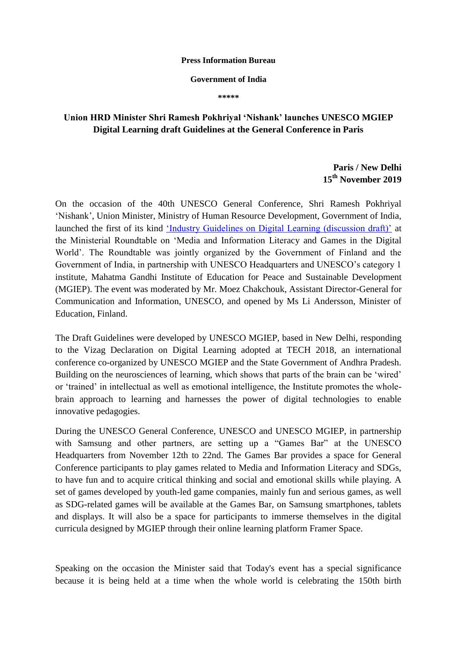## **Press Information Bureau**

## **Government of India**

**\*\*\*\*\***

## **Union HRD Minister Shri Ramesh Pokhriyal 'Nishank' launches UNESCO MGIEP Digital Learning draft Guidelines at the General Conference in Paris**

## **Paris / New Delhi 15th November 2019**

On the occasion of the 40th UNESCO General Conference, Shri Ramesh Pokhriyal "Nishank", Union Minister, Ministry of Human Resource Development, Government of India, launched the first of its kind 'Industry Guidelines on Digital Learning (discussion draft)' at the Ministerial Roundtable on "Media and Information Literacy and Games in the Digital World". The Roundtable was jointly organized by the Government of Finland and the Government of India, in partnership with UNESCO Headquarters and UNESCO"s category 1 institute, Mahatma Gandhi Institute of Education for Peace and Sustainable Development (MGIEP). The event was moderated by Mr. Moez Chakchouk, Assistant Director-General for Communication and Information, UNESCO, and opened by Ms Li Andersson, Minister of Education, Finland.

The Draft Guidelines were developed by UNESCO MGIEP, based in New Delhi, responding to the Vizag Declaration on Digital Learning adopted at TECH 2018, an international conference co-organized by UNESCO MGIEP and the State Government of Andhra Pradesh. Building on the neurosciences of learning, which shows that parts of the brain can be 'wired' or "trained" in intellectual as well as emotional intelligence, the Institute promotes the wholebrain approach to learning and harnesses the power of digital technologies to enable innovative pedagogies.

During the UNESCO General Conference, UNESCO and UNESCO MGIEP, in partnership with Samsung and other partners, are setting up a "Games Bar" at the UNESCO Headquarters from November 12th to 22nd. The Games Bar provides a space for General Conference participants to play games related to Media and Information Literacy and SDGs, to have fun and to acquire critical thinking and social and emotional skills while playing. A set of games developed by youth-led game companies, mainly fun and serious games, as well as SDG-related games will be available at the Games Bar, on Samsung smartphones, tablets and displays. It will also be a space for participants to immerse themselves in the digital curricula designed by MGIEP through their online learning platform Framer Space.

Speaking on the occasion the Minister said that Today's event has a special significance because it is being held at a time when the whole world is celebrating the 150th birth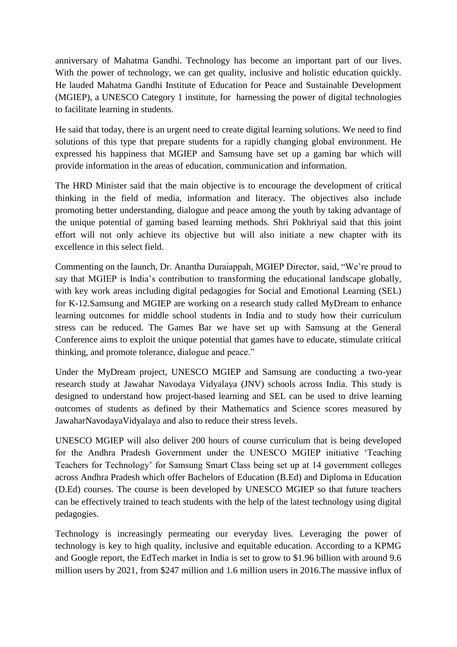anniversary of Mahatma Gandhi. Technology has become an important part of our lives. With the power of technology, we can get quality, inclusive and holistic education quickly. He lauded Mahatma Gandhi Institute of Education for Peace and Sustainable Development (MGIEP), a UNESCO Category 1 institute, for harnessing the power of digital technologies to facilitate learning in students.

He said that today, there is an urgent need to create digital learning solutions. We need to find solutions of this type that prepare students for a rapidly changing global environment. He expressed his happiness that MGIEP and Samsung have set up a gaming bar which will provide information in the areas of education, communication and information.

The HRD Minister said that the main objective is to encourage the development of critical thinking in the field of media, information and literacy. The objectives also include promoting better understanding, dialogue and peace among the youth by taking advantage of the unique potential of gaming based learning methods. Shri Pokhriyal said that this joint effort will not only achieve its objective but will also initiate a new chapter with its excellence in this select field.

Commenting on the launch, Dr. Anantha Duraiappah, MGIEP Director, said, "We're proud to say that MGIEP is India"s contribution to transforming the educational landscape globally, with key work areas including digital pedagogies for Social and Emotional Learning (SEL) for K-12.Samsung and MGIEP are working on a research study called MyDream to enhance learning outcomes for middle school students in India and to study how their curriculum stress can be reduced. The Games Bar we have set up with Samsung at the General Conference aims to exploit the unique potential that games have to educate, stimulate critical thinking, and promote tolerance, dialogue and peace."

Under the MyDream project, UNESCO MGIEP and Samsung are conducting a two-year research study at Jawahar Navodaya Vidyalaya (JNV) schools across India. This study is designed to understand how project-based learning and SEL can be used to drive learning outcomes of students as defined by their Mathematics and Science scores measured by JawaharNavodayaVidyalaya and also to reduce their stress levels.

UNESCO MGIEP will also deliver 200 hours of course curriculum that is being developed for the Andhra Pradesh Government under the UNESCO MGIEP initiative "Teaching Teachers for Technology" for Samsung Smart Class being set up at 14 government colleges across Andhra Pradesh which offer Bachelors of Education (B.Ed) and Diploma in Education (D.Ed) courses. The course is been developed by UNESCO MGIEP so that future teachers can be effectively trained to teach students with the help of the latest technology using digital pedagogies.

Technology is increasingly permeating our everyday lives. Leveraging the power of technology is key to high quality, inclusive and equitable education. According to a KPMG and Google report, the EdTech market in India is set to grow to \$1.96 billion with around 9.6 million users by 2021, from \$247 million and 1.6 million users in 2016.The massive influx of